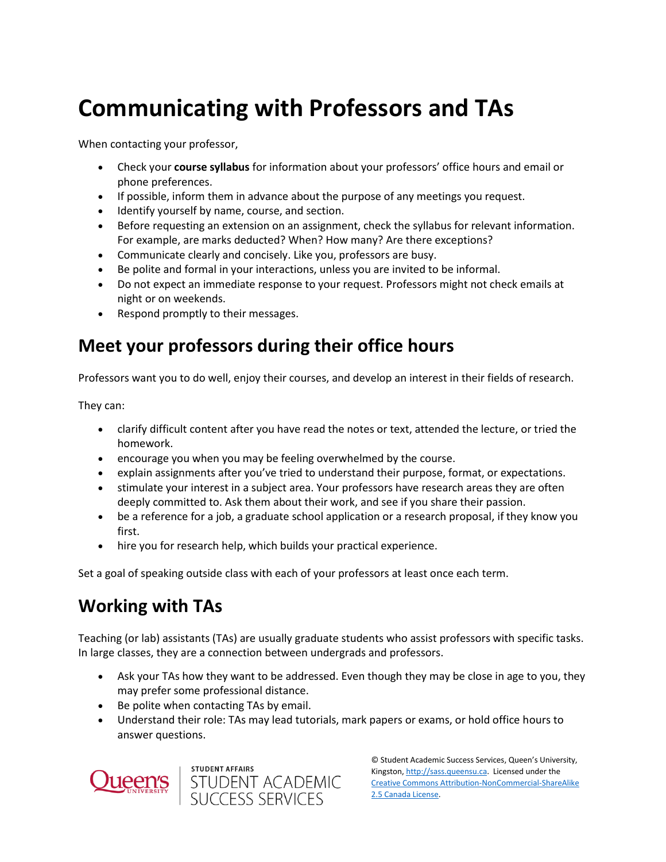# **Communicating with Professors and TAs**

When contacting your professor,

- Check your **course syllabus** for information about your professors' office hours and email or phone preferences.
- If possible, inform them in advance about the purpose of any meetings you request.
- Identify yourself by name, course, and section.
- Before requesting an extension on an assignment, check the syllabus for relevant information. For example, are marks deducted? When? How many? Are there exceptions?
- Communicate clearly and concisely. Like you, professors are busy.
- Be polite and formal in your interactions, unless you are invited to be informal.
- Do not expect an immediate response to your request. Professors might not check emails at night or on weekends.
- Respond promptly to their messages.

# **Meet your professors during their office hours**

Professors want you to do well, enjoy their courses, and develop an interest in their fields of research.

They can:

- clarify difficult content after you have read the notes or text, attended the lecture, or tried the homework.
- encourage you when you may be feeling overwhelmed by the course.
- explain assignments after you've tried to understand their purpose, format, or expectations.
- stimulate your interest in a subject area. Your professors have research areas they are often deeply committed to. Ask them about their work, and see if you share their passion.
- be a reference for a job, a graduate school application or a research proposal, if they know you first.
- hire you for research help, which builds your practical experience.

Set a goal of speaking outside class with each of your professors at least once each term.

# **Working with TAs**

Teaching (or lab) assistants (TAs) are usually graduate students who assist professors with specific tasks. In large classes, they are a connection between undergrads and professors.

- Ask your TAs how they want to be addressed. Even though they may be close in age to you, they may prefer some professional distance.
- Be polite when contacting TAs by email.
- Understand their role: TAs may lead tutorials, mark papers or exams, or hold office hours to answer questions.





© Student Academic Success Services, Queen's University, Kingston[, http://sass.queensu.ca.](http://sass.queensu.ca/) Licensed under the [Creative Commons Attribution-NonCommercial-ShareAlike](http://creativecommons.org/licenses/by-nc-sa/2.5/ca/)  [2.5 Canada License.](http://creativecommons.org/licenses/by-nc-sa/2.5/ca/)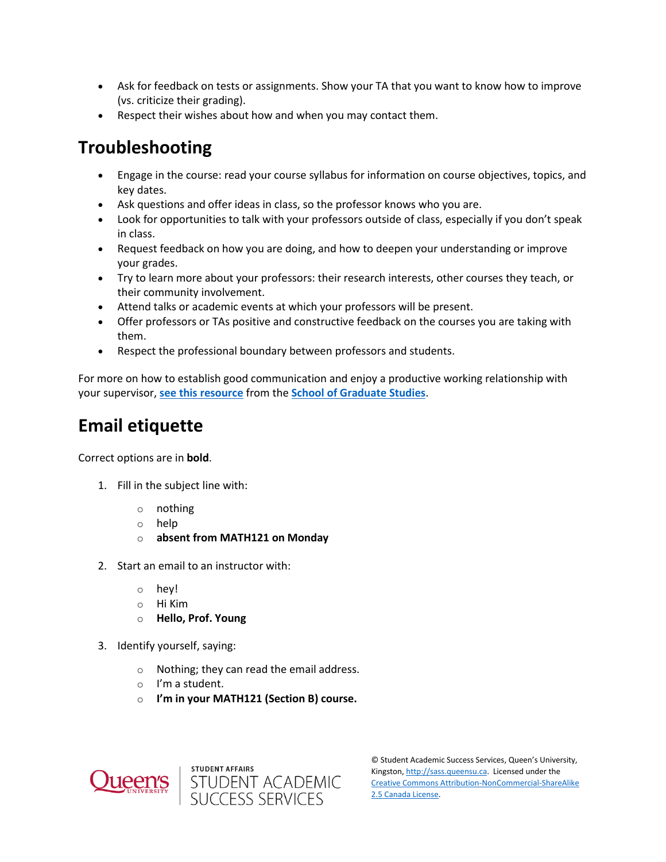- Ask for feedback on tests or assignments. Show your TA that you want to know how to improve (vs. criticize their grading).
- Respect their wishes about how and when you may contact them.

# **Troubleshooting**

- Engage in the course: read your course syllabus for information on course objectives, topics, and key dates.
- Ask questions and offer ideas in class, so the professor knows who you are.
- Look for opportunities to talk with your professors outside of class, especially if you don't speak in class.
- Request feedback on how you are doing, and how to deepen your understanding or improve your grades.
- Try to learn more about your professors: their research interests, other courses they teach, or their community involvement.
- Attend talks or academic events at which your professors will be present.
- Offer professors or TAs positive and constructive feedback on the courses you are taking with them.
- Respect the professional boundary between professors and students.

For more on how to establish good communication and enjoy a productive working relationship with your supervisor, **[see this resource](https://www.queensu.ca/sgs/current-students/graduate-supervision)** from the **[School of Graduate Studies](https://www.queensu.ca/sgs/)**.

# **Email etiquette**

Correct options are in **bold**.

- 1. Fill in the subject line with:
	- o nothing
	- o help
	- o **absent from MATH121 on Monday**
- 2. Start an email to an instructor with:
	- o hey!
	- o Hi Kim
	- o **Hello, Prof. Young**
- 3. Identify yourself, saying:
	- o Nothing; they can read the email address.
	- o I'm a student.
	- o **I'm in your MATH121 (Section B) course.**





© Student Academic Success Services, Queen's University, Kingston[, http://sass.queensu.ca.](http://sass.queensu.ca/) Licensed under the [Creative Commons Attribution-NonCommercial-ShareAlike](http://creativecommons.org/licenses/by-nc-sa/2.5/ca/)  [2.5 Canada License.](http://creativecommons.org/licenses/by-nc-sa/2.5/ca/)